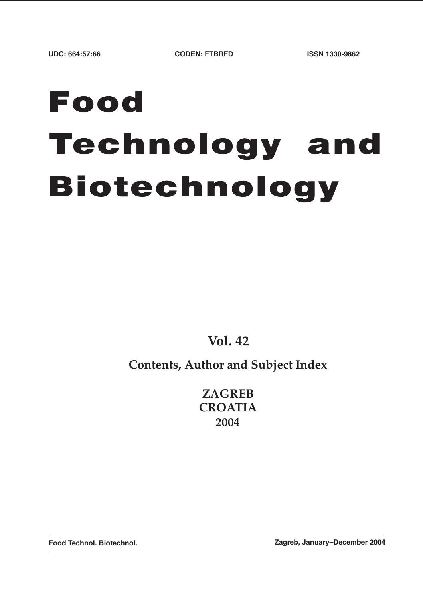# **Food Technology and Biotechnology**

**Vol. 42**

**Contents, Author and Subject Index**

**ZAGREB CROATIA 2004**

**Food Technol. Biotechnol. Zagreb, January–December 2004**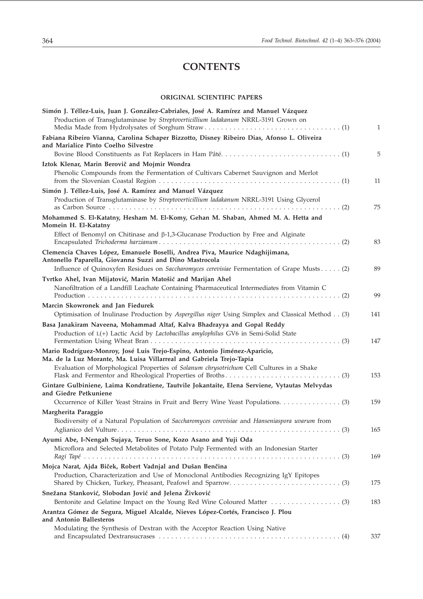## **CONTENTS**

#### **ORIGINAL SCIENTIFIC PAPERS**

| Simón J. Téllez-Luis, Juan J. González-Cabriales, José A. Ramírez and Manuel Vázquez<br>Production of Transglutaminase by Streptoverticillium ladakanum NRRL-3191 Grown on | 1   |
|----------------------------------------------------------------------------------------------------------------------------------------------------------------------------|-----|
| Fabiana Ribeiro Vianna, Carolina Schaper Bizzotto, Disney Ribeiro Dias, Afonso L. Oliveira                                                                                 |     |
| and Marialice Pinto Coelho Silvestre                                                                                                                                       | 5   |
| Iztok Klenar, Marin Berovič and Mojmir Wondra                                                                                                                              |     |
| Phenolic Compounds from the Fermentation of Cultivars Cabernet Sauvignon and Merlot                                                                                        |     |
|                                                                                                                                                                            | 11  |
| Simón J. Téllez-Luis, José A. Ramírez and Manuel Vázquez                                                                                                                   |     |
| Production of Transglutaminase by Streptoverticillium ladakanum NRRL-3191 Using Glycerol                                                                                   | 75  |
| Mohammed S. El-Katatny, Hesham M. El-Komy, Gehan M. Shaban, Ahmed M. A. Hetta and<br>Momein H. El-Katatny                                                                  |     |
| Effect of Benomyl on Chitinase and $\beta$ -1,3-Glucanase Production by Free and Alginate                                                                                  | 83  |
| Clemencia Chaves López, Emanuele Boselli, Andrea Piva, Maurice Ndaghijimana,<br>Antonello Paparella, Giovanna Suzzi and Dino Mastrocola                                    |     |
| Influence of Quinoxyfen Residues on Saccharomyces cerevisiae Fermentation of Grape Musts (2)                                                                               | 89  |
| Tvrtko Ahel, Ivan Mijatović, Marin Matošić and Marijan Ahel                                                                                                                |     |
| Nanofiltration of a Landfill Leachate Containing Pharmaceutical Intermediates from Vitamin C                                                                               |     |
|                                                                                                                                                                            | 99  |
| Marcin Skowronek and Jan Fiedurek                                                                                                                                          |     |
| Optimisation of Inulinase Production by Aspergillus niger Using Simplex and Classical Method (3)                                                                           | 141 |
| Basa Janakiram Naveena, Mohammad Altaf, Kalva Bhadrayya and Gopal Reddy<br>Production of L(+) Lactic Acid by Lactobacillus amylophilus GV6 in Semi-Solid State             |     |
|                                                                                                                                                                            | 147 |
| Mario Rodríguez-Monroy, José Luis Trejo-Espino, Antonio Jiménez-Aparicio,<br>Ma. de la Luz Morante, Ma. Luisa Villarreal and Gabriela Trejo-Tapia                          |     |
| Evaluation of Morphological Properties of Solanum chrysotrichum Cell Cultures in a Shake                                                                                   | 153 |
| Gintare Gulbiniene, Laima Kondratiene, Tautvile Jokantaite, Elena Serviene, Vytautas Melvydas<br>and Giedre Petkuniene                                                     |     |
|                                                                                                                                                                            | 159 |
| Margherita Paraggio                                                                                                                                                        |     |
| Biodiversity of a Natural Population of Saccharomyces cerevisiae and Hanseniaspora uvarum from                                                                             |     |
|                                                                                                                                                                            | 165 |
| Ayumi Abe, I-Nengah Sujaya, Teruo Sone, Kozo Asano and Yuji Oda                                                                                                            |     |
| Microflora and Selected Metabolites of Potato Pulp Fermented with an Indonesian Starter                                                                                    | 169 |
| Mojca Narat, Ajda Biček, Robert Vadnjal and Dušan Benčina                                                                                                                  |     |
| Production, Characterization and Use of Monoclonal Antibodies Recognizing IgY Epitopes                                                                                     | 175 |
| Snežana Stanković, Slobodan Jović and Jelena Živković                                                                                                                      |     |
|                                                                                                                                                                            | 183 |
| Arantza Gómez de Segura, Miguel Alcalde, Nieves López-Cortés, Francisco J. Plou<br>and Antonio Ballesteros                                                                 |     |
| Modulating the Synthesis of Dextran with the Acceptor Reaction Using Native                                                                                                |     |
|                                                                                                                                                                            | 337 |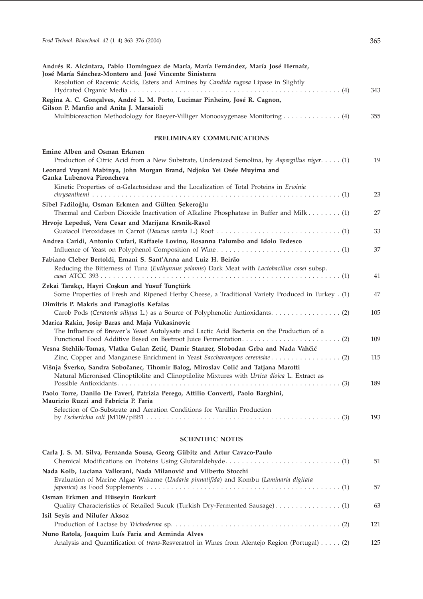| Andrés R. Alcántara, Pablo Domínguez de María, María Fernández, María José Hernaíz,<br>José María Sánchez-Montero and José Vincente Sinisterra                                       |     |
|--------------------------------------------------------------------------------------------------------------------------------------------------------------------------------------|-----|
| Resolution of Racemic Acids, Esters and Amines by Candida rugosa Lipase in Slightly                                                                                                  | 343 |
| Regina A. C. Gonçalves, André L. M. Porto, Lucimar Pinheiro, José R. Cagnon,<br>Gilson P. Manfio and Anita J. Marsaioli                                                              |     |
| Multibioreaction Methodology for Baeyer-Villiger Monooxygenase Monitoring 4)                                                                                                         | 355 |
| PRELIMINARY COMMUNICATIONS                                                                                                                                                           |     |
| Emine Alben and Osman Erkmen<br>Production of Citric Acid from a New Substrate, Undersized Semolina, by Aspergillus niger. (1)                                                       | 19  |
| Leonard Vuyani Mabinya, John Morgan Brand, Ndjoko Yei Osée Muyima and<br>Ganka Lubenova Pironcheva                                                                                   |     |
| Kinetic Properties of $\alpha$ -Galactosidase and the Localization of Total Proteins in <i>Erwinia</i>                                                                               | 23  |
| Sibel Fadiloğlu, Osman Erkmen and Gülten Şekeroğlu<br>Thermal and Carbon Dioxide Inactivation of Alkaline Phosphatase in Buffer and Milk (1)                                         | 27  |
| Hrvoje Lepeduš, Vera Cesar and Marijana Krsnik-Rasol                                                                                                                                 | 33  |
| Andrea Caridi, Antonio Cufari, Raffaele Lovino, Rosanna Palumbo and Idolo Tedesco                                                                                                    | 37  |
| Fabiano Cleber Bertoldi, Ernani S. Sant'Anna and Luiz H. Beirão                                                                                                                      |     |
| Reducing the Bitterness of Tuna (Euthynnus pelamis) Dark Meat with Lactobacillus casei subsp.                                                                                        | 41  |
| Zekai Tarakçı, Hayri Coşkun and Yusuf Tunçtürk<br>Some Properties of Fresh and Ripened Herby Cheese, a Traditional Variety Produced in Turkey . (1)                                  | 47  |
| Dimitris P. Makris and Panagiotis Kefalas                                                                                                                                            | 105 |
| Marica Rakin, Josip Baras and Maja Vukasinovic<br>The Influence of Brewer's Yeast Autolysate and Lactic Acid Bacteria on the Production of a                                         |     |
| Vesna Stehlik-Tomas, Vlatka Gulan Zetić, Damir Stanzer, Slobodan Grba and Nada Vahčić                                                                                                | 109 |
|                                                                                                                                                                                      | 115 |
| Višnja Šverko, Sandra Sobočanec, Tihomir Balog, Miroslav Colić and Tatjana Marotti<br>Natural Micronised Clinoptilolite and Clinoptilolite Mixtures with Urtica dioica L. Extract as | 189 |
| Paolo Torre, Danilo De Faveri, Patrizia Perego, Attilio Converti, Paolo Barghini,<br>Maurizio Ruzzi and Fabrícia P. Faria                                                            |     |
| Selection of Co-Substrate and Aeration Conditions for Vanillin Production                                                                                                            | 193 |
| <b>SCIENTIFIC NOTES</b>                                                                                                                                                              |     |
| Carla J. S. M. Silva, Fernanda Sousa, Georg Gübitz and Artur Cavaco-Paulo                                                                                                            |     |
|                                                                                                                                                                                      | 51  |

|                                                                                               | ЭĪ  |
|-----------------------------------------------------------------------------------------------|-----|
| Nada Kolb, Luciana Vallorani, Nada Milanović and Vilberto Stocchi                             |     |
| Evaluation of Marine Algae Wakame (Undaria pinnatifida) and Kombu (Laminaria digitata         | 57  |
| Osman Erkmen and Hüseyin Bozkurt                                                              |     |
| Quality Characteristics of Retailed Sucuk (Turkish Dry-Fermented Sausage) (1)                 | 63  |
| Isil Seyis and Nilufer Aksoz                                                                  |     |
|                                                                                               | 121 |
| Nuno Ratola, Joaquim Luís Faria and Arminda Alves                                             |     |
| Analysis and Quantification of trans-Resveratrol in Wines from Alentejo Region (Portugal) (2) | 125 |
|                                                                                               |     |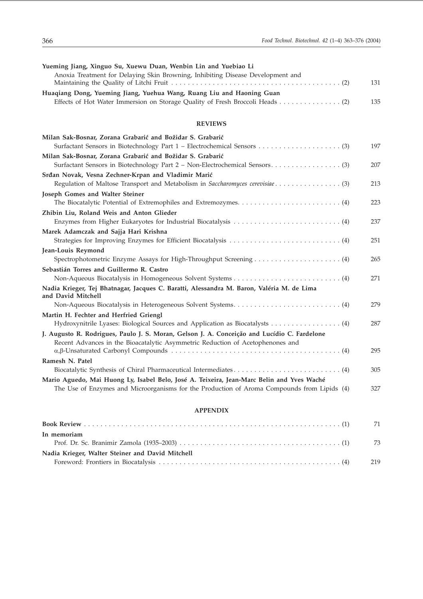| Yueming Jiang, Xinguo Su, Xuewu Duan, Wenbin Lin and Yuebiao Li                             |     |
|---------------------------------------------------------------------------------------------|-----|
| Anoxia Treatment for Delaying Skin Browning, Inhibiting Disease Development and             |     |
|                                                                                             | 131 |
| Huaqiang Dong, Yueming Jiang, Yuehua Wang, Ruang Liu and Haoning Guan                       |     |
|                                                                                             | 135 |
|                                                                                             |     |
| <b>REVIEWS</b>                                                                              |     |
| Milan Sak-Bosnar, Zorana Grabarić and Božidar S. Grabarić                                   |     |
|                                                                                             | 197 |
| Milan Sak-Bosnar, Zorana Grabarić and Božidar S. Grabarić                                   |     |
|                                                                                             | 207 |
| Srđan Novak, Vesna Zechner-Krpan and Vladimir Marić                                         |     |
| Regulation of Maltose Transport and Metabolism in Saccharomyces cerevisiae (3)              | 213 |
| Joseph Gomes and Walter Steiner                                                             |     |
|                                                                                             | 223 |
| Zhibin Liu, Roland Weis and Anton Glieder                                                   |     |
|                                                                                             | 237 |
| Marek Adamczak and Sajja Hari Krishna                                                       |     |
|                                                                                             | 251 |
| Jean-Louis Reymond                                                                          |     |
|                                                                                             | 265 |
| Sebastián Torres and Guillermo R. Castro                                                    |     |
|                                                                                             | 271 |
| Nadia Krieger, Tej Bhatnagar, Jacques C. Baratti, Alessandra M. Baron, Valéria M. de Lima   |     |
| and David Mitchell                                                                          |     |
|                                                                                             | 279 |
| Martin H. Fechter and Herfried Griengl                                                      |     |
|                                                                                             | 287 |
| J. Augusto R. Rodrigues, Paulo J. S. Moran, Gelson J. A. Conceição and Lucídio C. Fardelone |     |
| Recent Advances in the Bioacatalytic Asymmetric Reduction of Acetophenones and              |     |
|                                                                                             | 295 |
| Ramesh N. Patel                                                                             |     |
|                                                                                             | 305 |
| Mario Aguedo, Mai Huong Ly, Isabel Belo, José A. Teixeira, Jean-Marc Belin and Yves Waché   |     |
| The Use of Enzymes and Microorganisms for the Production of Aroma Compounds from Lipids (4) | 327 |
|                                                                                             |     |
| A DDENINIV                                                                                  |     |

#### **APPENDIX**

|                                                  | 71  |
|--------------------------------------------------|-----|
| In memoriam                                      |     |
|                                                  | -73 |
| Nadia Krieger, Walter Steiner and David Mitchell |     |
|                                                  | 219 |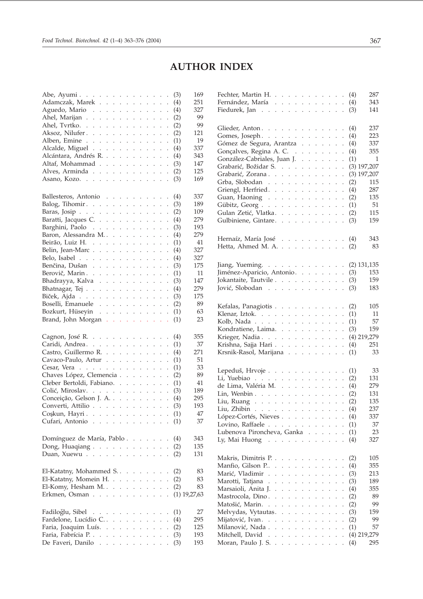## **AUTHOR INDEX**

| Abe, Ayumi.                                                               |                                                          |                                              |                                                     | (3)<br>169     |
|---------------------------------------------------------------------------|----------------------------------------------------------|----------------------------------------------|-----------------------------------------------------|----------------|
| Adamczak, Marek                                                           |                                                          |                                              |                                                     | 251<br>(4)     |
| Aguedo, Mario                                                             |                                                          |                                              |                                                     | 327<br>(4)     |
| Ahel, Marijan                                                             |                                                          |                                              | $\ddot{\phantom{0}}$                                | 99<br>(2)      |
| Ahel, Tvrtko.                                                             |                                                          |                                              | $\ddot{\phantom{0}}$                                | 99<br>(2)      |
| Aksoz, Nilufer.                                                           |                                                          |                                              | $\ddot{\phantom{0}}$                                | 121<br>(2)     |
| Alben, Emine                                                              |                                                          |                                              |                                                     | 19<br>(1)      |
| Alcalde, Miguel                                                           |                                                          |                                              | $\ddot{\phantom{0}}$                                | 337<br>(4)     |
| Alcántara, Andrés R.                                                      |                                                          |                                              | $\ddot{\phantom{0}}$                                | (4)<br>343     |
| Altaf, Mohammad                                                           |                                                          |                                              | $\ddot{\phantom{0}}$                                | 147<br>(3)     |
| Alves, Arminda                                                            |                                                          |                                              |                                                     | 125<br>(2)     |
| Asano, Kozo.                                                              |                                                          |                                              |                                                     | (3)<br>169     |
|                                                                           |                                                          |                                              |                                                     |                |
|                                                                           |                                                          |                                              |                                                     | 337            |
| Ballesteros, Antonio                                                      |                                                          |                                              |                                                     | (4)            |
| Balog, Tihomir. $\ldots$                                                  |                                                          |                                              | $\ddot{\phantom{0}}$                                | (3)<br>189     |
| Baras, Josip. $\ldots$ .                                                  |                                                          |                                              | $\ddot{\phantom{0}}$                                | 109<br>(2)     |
| Baratti, Jacques C.                                                       |                                                          |                                              | $\ddot{\phantom{0}}$                                | 279<br>(4)     |
| Barghini, Paolo                                                           |                                                          |                                              | $\ddot{\phantom{0}}$                                | 193<br>(3)     |
| Baron, Alessandra M.                                                      |                                                          |                                              | $\ddot{\phantom{0}}$                                | 279<br>(4)     |
| Beirão, Luiz H.                                                           |                                                          |                                              | $\ddot{\phantom{0}}$                                | (1)<br>41      |
| Belin, Jean-Marc                                                          | $\mathbb{Z}^{\times}$<br>$\mathcal{L}^{\text{max}}$      | $\mathcal{L}^{\pm}$                          | $\ddot{\phantom{0}}$<br>$\ddot{\phantom{0}}$        | 327<br>(4)     |
| Belo, Isabel $\ldots$ $\ldots$ $\ldots$ $\ldots$ $\ldots$                 |                                                          |                                              | $\ddot{\phantom{0}}$                                | 327<br>(4)     |
| Benčina, Dušan                                                            |                                                          |                                              | $\ddot{\phantom{0}}$                                | 175<br>(3)     |
| Berovič, Marin.                                                           |                                                          |                                              | $\ddot{\phantom{0}}$                                | 11<br>(1)      |
| Bhadrayya, Kalva                                                          |                                                          |                                              | $\ddot{\phantom{0}}$                                | 147<br>(3)     |
| Bhatnagar, Tej                                                            |                                                          | $\mathcal{L}^{\pm}$                          | $\mathcal{L}^{\mathcal{L}}$<br>$\ddot{\phantom{0}}$ | 279<br>(4)     |
| Biček, Ajda                                                               |                                                          |                                              | $\ddot{\phantom{0}}$                                | 175<br>(3)     |
| Boselli, Emanuele                                                         |                                                          |                                              |                                                     | 89<br>(2)      |
| Bozkurt, Hüseyin                                                          |                                                          |                                              |                                                     | 63<br>(1)      |
| Brand, John Morgan                                                        |                                                          |                                              |                                                     | 23<br>(1)      |
|                                                                           |                                                          |                                              |                                                     |                |
| Cagnon, José R.                                                           |                                                          |                                              |                                                     | 355<br>(4)     |
| Caridi, Andrea.                                                           |                                                          |                                              | $\ddot{\phantom{0}}$                                | 37<br>(1)      |
| Castro, Guillermo R.                                                      |                                                          |                                              | $\ddot{\phantom{0}}$                                | 271<br>(4)     |
| Cavaco-Paulo, Artur                                                       |                                                          |                                              | $\ddot{\phantom{0}}$                                | 51<br>(1)      |
| Cesar, Vera                                                               |                                                          |                                              | $\cdot$                                             | 33<br>(1)      |
| Chaves López, Clemencia                                                   |                                                          |                                              |                                                     | 89<br>(2)      |
| Cleber Bertoldi, Fabiano.                                                 |                                                          |                                              |                                                     | 41<br>(1)      |
| Colić, Miroslav.                                                          |                                                          |                                              | $\ddot{\phantom{0}}$                                | 189<br>(3)     |
|                                                                           |                                                          |                                              | $\ddot{\phantom{a}}$                                | 295            |
| Conceição, Gelson J. A.                                                   |                                                          |                                              |                                                     | (4)            |
| Converti, Attilio                                                         |                                                          |                                              |                                                     | 193<br>(3)     |
| Coşkun, Hayri                                                             |                                                          |                                              |                                                     | 47<br>(1)      |
| Cufari, Antonio.<br>$\sim 100$ km s $^{-1}$<br>$\sim$ $\sim$<br>$\sim$    | $\ddot{\phantom{a}}$<br>$\ddot{\phantom{0}}$             |                                              | $\sim$                                              | 37<br>(1)      |
|                                                                           |                                                          |                                              |                                                     |                |
| Domínguez de María, Pablo                                                 |                                                          | $\sim$<br>$\overline{\phantom{a}}$           | $\ddot{\phantom{a}}$<br>$\ddot{\phantom{0}}$        | 343<br>(4)     |
| Dong, Huaqiang $\ldots$ $\ldots$                                          | $\mathcal{L}^{\mathcal{L}}$<br>$\ddot{\phantom{0}}$      | $\mathcal{L}$<br>$\mathbf{r}$                | $\mathcal{L}^{\pm}$<br>$\ddot{\phantom{0}}$         | 135<br>(2)     |
| $\mathbb{R}^2$ . The same $\mathbb{R}^2$<br>Duan, Xuewu                   |                                                          |                                              | $\ddot{\phantom{a}}$                                | (2)<br>131     |
|                                                                           |                                                          |                                              |                                                     |                |
| El-Katatny, Mohammed S                                                    | $\sim$ $\sim$                                            | <b>Carl Control</b>                          | $\overline{\phantom{a}}$                            | 83<br>(2)      |
| El-Katatny, Momein H.                                                     |                                                          |                                              | $\ddot{\phantom{0}}$                                | 83<br>(2)      |
| El-Komy, Hesham M.                                                        |                                                          | $\sim$<br>$\ddot{\phantom{0}}$               | $\mathbb{Z}^{\mathbb{Z}}$<br>$\ddot{\phantom{0}}$   | 83<br>(2)      |
| Erkmen, Osman<br>$\sim 10^7$                                              | $\ddot{\phantom{0}}$                                     | $\ddot{\phantom{a}}$<br>$\ddot{\phantom{0}}$ | $\ddot{\phantom{0}}$<br>$\ddot{\phantom{0}}$        | $(1)$ 19,27,63 |
|                                                                           |                                                          |                                              |                                                     |                |
| Fadiloğlu, Sibel.<br>$\alpha$ , $\alpha$ , $\alpha$ , $\alpha$ , $\alpha$ | $\sim$ $\sim$                                            | $\sim$ $\sim$                                | $\cdot$                                             | 27<br>(1)      |
| Fardelone, Lucídio C                                                      | $\mathbb{Z}^{\mathbb{Z}^2}$<br>$\mathbf{L}^{\text{max}}$ | $\mathcal{L}^{\pm}$                          | i.<br>$\ddot{\phantom{0}}$                          | (4)<br>295     |
| Faria, Joaquim Luís.                                                      |                                                          |                                              |                                                     | (2)<br>125     |
| Faria, Fabrícia P.                                                        |                                                          | $\sim$ $\sim$                                | $\sim$                                              | (3)<br>193     |
| De Faveri, Danilo $\ldots$ , $\ldots$ , $\ldots$                          |                                                          |                                              | $\ddot{\phantom{0}}$                                | (3)<br>193     |
|                                                                           |                                                          |                                              |                                                     |                |

| Fechter, Martin H. (4)                                   |                      |                      |                      |                      |                      |                                                                                       |                               |                               |                      |     | 287           |
|----------------------------------------------------------|----------------------|----------------------|----------------------|----------------------|----------------------|---------------------------------------------------------------------------------------|-------------------------------|-------------------------------|----------------------|-----|---------------|
| Fernández, María                                         |                      |                      |                      |                      |                      |                                                                                       |                               |                               |                      | (4) | 343           |
|                                                          |                      |                      |                      |                      |                      |                                                                                       |                               |                               |                      |     |               |
| Fiedurek, Jan                                            |                      |                      |                      |                      |                      |                                                                                       |                               |                               |                      | (3) | 141           |
|                                                          |                      |                      |                      |                      |                      |                                                                                       |                               |                               |                      |     |               |
|                                                          |                      |                      |                      |                      |                      |                                                                                       |                               |                               |                      |     |               |
| Glieder, Anton.                                          |                      |                      |                      |                      |                      |                                                                                       |                               |                               |                      | (4) | 237           |
| Gomes, Joseph.                                           |                      |                      |                      |                      |                      |                                                                                       |                               |                               |                      | (4) | 223           |
| Gómez de Segura, Arantza                                 |                      |                      |                      |                      |                      |                                                                                       |                               |                               |                      | (4) | 337           |
|                                                          |                      |                      |                      |                      |                      |                                                                                       |                               |                               |                      |     |               |
| Gonçalves, Regina A. C.                                  |                      |                      |                      | $\mathcal{L}^{\pm}$  |                      | and a state                                                                           |                               |                               | $\ddot{\phantom{0}}$ | (4) | 355           |
| González-Cabriales, Juan J                               |                      |                      |                      |                      |                      | $\mathcal{L}^{\pm}$ , $\mathcal{L}^{\pm}$ , $\mathcal{L}^{\pm}$ , $\mathcal{L}^{\pm}$ |                               |                               | $\ddot{\phantom{0}}$ | (1) | $\mathbf{1}$  |
| Grabarić, Božidar S.                                     |                      |                      |                      |                      |                      | $\mathcal{L}^{\pm}$ , $\mathcal{L}^{\pm}$ , $\mathcal{L}^{\pm}$                       |                               | $\mathcal{L}^{\pm}$           | $\ddot{\phantom{0}}$ |     | $(3)$ 197,207 |
|                                                          |                      |                      |                      |                      |                      |                                                                                       |                               |                               |                      |     |               |
| Grabarić, Zorana                                         |                      |                      |                      |                      |                      | $\mathbf{1}=\mathbf{1}=\mathbf{1}=\mathbf{1}=\mathbf{1}$                              |                               |                               | $\ddot{\phantom{0}}$ |     | $(3)$ 197,207 |
| Grba, Slobodan                                           |                      |                      |                      |                      |                      | $\mathcal{L}^{\mathcal{L}}(\mathcal{L}^{\mathcal{L}})$                                |                               | $\mathcal{L}^{\text{max}}$    | $\ddot{\phantom{0}}$ | (2) | 115           |
| Griengl, Herfried.                                       |                      |                      |                      |                      |                      | $\mathbf{L}^{\text{max}}$                                                             |                               | $\mathcal{L}^{\text{max}}$    | $\ddot{\phantom{0}}$ | (4) | 287           |
| Guan, Haoning                                            |                      |                      |                      |                      |                      |                                                                                       |                               |                               |                      | (2) | 135           |
|                                                          |                      |                      |                      |                      |                      | $\mathcal{L}^{\text{max}}$                                                            |                               | $\mathcal{L}^{\text{max}}$    | $\ddot{\phantom{0}}$ |     |               |
| Gübitz, Georg                                            |                      |                      |                      |                      |                      |                                                                                       |                               |                               | $\ddot{\phantom{0}}$ | (1) | 51            |
| Gulan Zetić, Vlatka.                                     |                      |                      |                      |                      |                      |                                                                                       |                               |                               |                      | (2) | 115           |
| Gulbiniene, Gintare.                                     |                      |                      |                      |                      |                      |                                                                                       |                               |                               |                      | (3) | 159           |
|                                                          |                      |                      |                      |                      |                      |                                                                                       |                               |                               |                      |     |               |
|                                                          |                      |                      |                      |                      |                      |                                                                                       |                               |                               |                      |     |               |
|                                                          |                      |                      |                      |                      |                      |                                                                                       |                               |                               |                      |     | 343           |
| Hernaíz, María José                                      |                      |                      |                      |                      |                      |                                                                                       |                               |                               |                      | (4) |               |
| Hetta, Ahmed M. A.                                       |                      |                      |                      |                      |                      |                                                                                       |                               |                               |                      | (2) | 83            |
|                                                          |                      |                      |                      |                      |                      |                                                                                       |                               |                               |                      |     |               |
|                                                          |                      |                      |                      |                      |                      |                                                                                       |                               |                               |                      |     |               |
| Jiang, Yueming.                                          |                      |                      |                      |                      |                      |                                                                                       |                               |                               |                      |     | $(2)$ 131,135 |
| Jiménez-Aparicio, Antonio.                               |                      |                      |                      |                      |                      |                                                                                       |                               |                               |                      | (3) | 153           |
|                                                          |                      |                      |                      |                      |                      |                                                                                       |                               |                               |                      |     |               |
| Jokantaite, Tautvile                                     |                      |                      |                      |                      |                      |                                                                                       |                               |                               |                      | (3) | 159           |
| Jović, Slobodan                                          |                      |                      |                      |                      |                      |                                                                                       |                               |                               |                      | (3) | 183           |
|                                                          |                      |                      |                      |                      |                      |                                                                                       |                               |                               |                      |     |               |
|                                                          |                      |                      |                      |                      |                      |                                                                                       |                               |                               |                      |     |               |
| Kefalas, Panagiotis                                      |                      |                      |                      |                      |                      |                                                                                       |                               |                               |                      | (2) | 105           |
| Klenar, Iztok.                                           |                      |                      |                      |                      |                      | $\mathcal{L}^{\pm}$ .                                                                 | $\mathcal{L}^{\mathcal{L}}$   | $\mathcal{L}^{\pm}$           | $\ddot{\phantom{0}}$ | (1) | 11            |
|                                                          |                      |                      |                      |                      |                      |                                                                                       |                               |                               |                      |     | 57            |
| Kolb, Nada                                               |                      |                      |                      |                      |                      | and a state                                                                           |                               |                               | $\ddot{\phantom{0}}$ | (1) |               |
| Kondratiene, Laima.                                      |                      |                      |                      |                      |                      |                                                                                       |                               | $\mathcal{L}^{\text{max}}$    | $\ddot{\phantom{0}}$ | (3) | 159           |
| Krieger, Nadia                                           |                      |                      |                      |                      |                      |                                                                                       |                               |                               | $\cdot$              |     | $(4)$ 219,279 |
|                                                          |                      |                      |                      |                      |                      |                                                                                       |                               |                               |                      |     | 251           |
| Krishna, Sajja Hari                                      |                      |                      |                      |                      |                      |                                                                                       |                               |                               |                      | (4) |               |
| Krsnik-Rasol, Marijana                                   |                      |                      |                      |                      |                      |                                                                                       |                               |                               | $\cdot$              | (1) | 33            |
|                                                          |                      |                      |                      |                      |                      |                                                                                       |                               |                               |                      |     |               |
|                                                          |                      |                      |                      |                      |                      |                                                                                       |                               |                               |                      |     |               |
| Lepeduš, Hrvoje                                          |                      |                      |                      |                      |                      |                                                                                       |                               |                               |                      | (1) | 33            |
| Li, Yuebiao $\ldots$ $\ldots$ $\ldots$ $\ldots$ $\ldots$ |                      |                      |                      |                      |                      |                                                                                       |                               |                               | $\ddot{\phantom{0}}$ | (2) | 131           |
|                                                          |                      |                      |                      |                      |                      |                                                                                       |                               |                               |                      |     | 279           |
| de Lima, Valéria M.                                      |                      |                      |                      |                      |                      | $\mathbf{r} = \mathbf{r} - \mathbf{r} = \mathbf{r}$ .                                 |                               |                               | $\ddot{\phantom{a}}$ | (4) |               |
| Lin, Wenbin $\ldots$ $\ldots$ $\ldots$                   |                      |                      |                      |                      |                      | $\mathcal{L}^{\pm}$ , $\mathcal{L}^{\pm}$ , $\mathcal{L}^{\pm}$ , $\mathcal{L}^{\pm}$ |                               |                               |                      | (2) | 131           |
| Liu, Ruang                                               |                      |                      |                      |                      |                      |                                                                                       |                               |                               |                      | (2) | 135           |
|                                                          |                      |                      |                      |                      |                      |                                                                                       |                               |                               |                      | (4) | 237           |
| Liu, Zhibin                                              |                      |                      |                      |                      |                      |                                                                                       |                               |                               |                      |     |               |
| López-Cortés, Nieves                                     |                      |                      |                      |                      |                      |                                                                                       |                               |                               | $\ddot{\phantom{a}}$ | (4) | 337           |
| Lovino, Raffaele                                         |                      |                      |                      |                      |                      |                                                                                       |                               |                               | $\ddot{\phantom{a}}$ | (1) | 37            |
| Lubenova Pironcheva, Ganka                               |                      |                      |                      |                      |                      |                                                                                       |                               |                               | $\ddot{\phantom{a}}$ | (1) | 23            |
|                                                          |                      |                      |                      |                      |                      |                                                                                       |                               |                               |                      |     |               |
| Ly, Mai Huong $\ldots$ $\ldots$ $\ldots$ $\ldots$        |                      |                      |                      |                      |                      |                                                                                       |                               |                               | $\ddot{\phantom{0}}$ | (4) | 327           |
|                                                          |                      |                      |                      |                      |                      |                                                                                       |                               |                               |                      |     |               |
|                                                          |                      |                      |                      |                      |                      |                                                                                       |                               |                               |                      |     |               |
| Makris, Dimitris P.                                      |                      |                      |                      |                      |                      |                                                                                       |                               |                               |                      | (2) | 105           |
| Manfio, Gilson P. $\ldots$ $\ldots$ $\ldots$ $\ldots$    |                      |                      |                      |                      |                      |                                                                                       |                               |                               | $\ddot{\phantom{0}}$ | (4) | 355           |
| Marić, Vladimir                                          |                      |                      |                      |                      |                      | $\mathcal{L}^{\mathcal{A}}$ and $\mathcal{L}^{\mathcal{A}}$                           | $\mathcal{L}^{\text{max}}$    |                               |                      | (3) | 213           |
|                                                          |                      |                      |                      |                      |                      |                                                                                       |                               |                               | $\ddot{\phantom{0}}$ |     |               |
| Marotti, Tatjana                                         |                      |                      |                      |                      |                      | $\mathbf{L}$                                                                          | $\mathcal{L}^{\mathcal{L}}$ . |                               |                      | (3) | 189           |
| Marsaioli, Anita J.<br>$\mathcal{L}_{\bullet}$           | $\sim 100$           | $\ddot{\phantom{0}}$ | $\ddot{\phantom{a}}$ | $\ddot{\phantom{0}}$ | $\ddot{\phantom{0}}$ | $\ddot{\phantom{0}}$                                                                  | $\mathbf{r}$                  | $\ddot{\phantom{a}}$          | $\ddot{\phantom{0}}$ | (4) | 355           |
| Mastrocola, Dino                                         | $\sim$ $\sim$ $\sim$ |                      |                      | $\mathbf{L}$         | $\ddot{\phantom{a}}$ | $\sim$                                                                                | $\ddot{\phantom{a}}$          | $\sim$                        | $\ddot{\phantom{0}}$ | (2) | 89            |
|                                                          |                      |                      |                      |                      |                      |                                                                                       |                               |                               |                      |     |               |
| Matošić, Marin                                           | and a state          |                      |                      |                      |                      | $\mathbf{L}^{\text{max}}$                                                             | $\mathbf{L}^{\mathcal{A}}$    |                               | $\ddot{\phantom{0}}$ | (2) | 99            |
| Melvydas, Vytautas.                                      |                      |                      |                      |                      |                      | $\mathcal{L}^{\mathcal{L}}(\mathcal{L}^{\mathcal{L}})$                                |                               | $\mathcal{L}^{\mathcal{L}}$ . | $\ddot{\phantom{0}}$ | (3) | 159           |
| Mijatović, Ivan.                                         |                      |                      |                      |                      |                      |                                                                                       |                               |                               |                      | (2) | 99            |
|                                                          |                      |                      |                      |                      |                      |                                                                                       |                               |                               |                      |     |               |
| Milanović, Nada                                          |                      |                      |                      |                      |                      | $\mathcal{L}^{\text{max}}$                                                            |                               | $\mathcal{L}^{\text{out}}$    | $\ddot{\phantom{a}}$ | (1) | 57            |
| Mitchell, David                                          |                      |                      |                      |                      |                      |                                                                                       |                               |                               |                      |     | $(4)$ 219,279 |
| Moran, Paulo J. S.                                       |                      |                      |                      |                      |                      |                                                                                       |                               |                               |                      | (4) | 295           |
|                                                          |                      |                      |                      |                      |                      |                                                                                       |                               |                               |                      |     |               |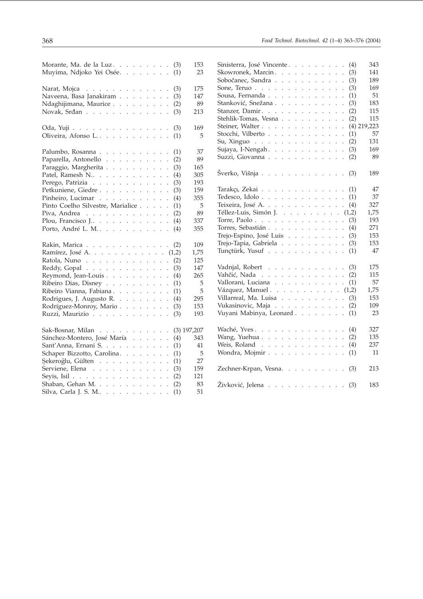| Morante, Ma. de la Luz (3)                                |  |  |                      |     | 153           |
|-----------------------------------------------------------|--|--|----------------------|-----|---------------|
| Muyima, Ndjoko Yei Osée.                                  |  |  |                      | (1) | 23            |
| Narat, Mojca $\ldots \ldots \ldots \ldots$                |  |  |                      | (3) | 175           |
| Naveena, Basa Janakiram                                   |  |  |                      | (3) | 147           |
| Ndaghijimana, Maurice                                     |  |  |                      | (2) | 89            |
| Novak, Srđan                                              |  |  |                      | (3) | 213           |
| Oda, Yuji                                                 |  |  |                      | (3) | 169           |
| Oliveira, Afonso L                                        |  |  |                      | (1) | 5             |
| Palumbo, Rosanna                                          |  |  |                      | (1) | 37            |
| Paparella, Antonello                                      |  |  |                      | (2) | 89            |
| Paraggio, Margherita                                      |  |  | $\ddot{\phantom{0}}$ | (3) | 165           |
| Patel, Ramesh N                                           |  |  | $\ddot{\phantom{0}}$ | (4) | 305           |
| Perego, Patrizia                                          |  |  | $\ddot{\phantom{0}}$ | (3) | 193           |
| Petkuniene, Giedre                                        |  |  |                      | (3) | 159           |
| Pinheiro, Lucimar                                         |  |  | l.                   | (4) | 355           |
| Pinto Coelho Silvestre, Marialice                         |  |  | $\ddot{\phantom{a}}$ | (1) | 5             |
| Piva, Andrea $\ldots$ $\ldots$ $\ldots$ $\ldots$ $\ldots$ |  |  |                      | (2) | 89            |
| Plou, Francisco J                                         |  |  | $\ddot{\phantom{0}}$ | (4) | 337           |
| Porto, André L. M.                                        |  |  |                      | (4) | 355           |
| Rakin, Marica                                             |  |  |                      | (2) | 109           |
| Ramírez, José A. (1,2)                                    |  |  |                      |     | 1,75          |
| Ratola, Nuno                                              |  |  | $\ddot{\phantom{0}}$ | (2) | 125           |
| Reddy, Gopal $\ldots$                                     |  |  | $\ddot{\phantom{0}}$ | (3) | 147           |
| Reymond, Jean-Louis                                       |  |  | $\ddot{\phantom{0}}$ | (4) | 265           |
| Ribeiro Dias, Disney                                      |  |  | $\ddot{\phantom{0}}$ | (1) | 5             |
| Ribeiro Vianna, Fabiana                                   |  |  |                      | (1) | 5             |
| Rodrigues, J. Augusto R.                                  |  |  |                      | (4) | 295           |
| Rodríguez-Monroy, Mario                                   |  |  |                      | (3) | 153           |
| Ruzzi, Maurizio                                           |  |  |                      | (3) | 193           |
| Sak-Bosnar, Milan                                         |  |  |                      |     | $(3)$ 197,207 |
| Sánchez-Montero, José María                               |  |  |                      | (4) | 343           |
| Sant'Anna, Ernani S.                                      |  |  | $\ddot{\phantom{a}}$ | (1) | 41            |
| Schaper Bizzotto, Carolina.                               |  |  |                      | (1) | 5             |
| Şekeroğlu, Gülten                                         |  |  |                      | (1) | 27            |
| Serviene, Elena                                           |  |  |                      | (3) | 159           |
| Seyis, Isil                                               |  |  |                      | (2) | 121           |
| Shaban, Gehan M.                                          |  |  |                      | (2) | 83            |
| Silva, Carla J. S. M                                      |  |  |                      | (1) | 51            |

| Sinisterra, José Vincente                                   |  |  |             |                      |                           |                      | (4) | 343           |
|-------------------------------------------------------------|--|--|-------------|----------------------|---------------------------|----------------------|-----|---------------|
| Skowronek, Marcin.                                          |  |  |             |                      |                           |                      | (3) | 141           |
| Sobočanec, Sandra                                           |  |  |             |                      |                           |                      | (3) | 189           |
| Sone, Teruo                                                 |  |  |             |                      | $\mathbf{r}$              | $\ddot{\phantom{a}}$ | (3) | 169           |
| Sousa, Fernanda                                             |  |  |             |                      | $\ddot{\phantom{0}}$      | $\ddot{\phantom{0}}$ | (1) | 51            |
| Stanković, Snežana                                          |  |  |             |                      |                           | $\ddot{\phantom{0}}$ | (3) | 183           |
| Stanzer, Damir.                                             |  |  |             |                      | $\mathcal{L}^{\pm}$       | $\ddot{\phantom{0}}$ | (2) | 115           |
| Stehlik-Tomas, Vesna                                        |  |  |             |                      | $\mathcal{L}^{\pm}$       | $\ddot{\phantom{0}}$ | (2) | 115           |
| Steiner, Walter                                             |  |  |             |                      | $\mathbb{Z}^{\mathbb{Z}}$ | $\ddot{\phantom{0}}$ |     | $(4)$ 219,223 |
| Stocchi, Vilberto                                           |  |  |             |                      |                           | $\ddot{\phantom{0}}$ | (1) | 57            |
| Su, Xinguo                                                  |  |  |             | $\ddot{\phantom{0}}$ |                           |                      | (2) | 131           |
| Sujaya, I-Nengah.                                           |  |  |             |                      | $\mathbf{r}$              |                      | (3) | 169           |
| Suzzi, Giovanna                                             |  |  |             |                      |                           |                      | (2) | 89            |
|                                                             |  |  |             |                      |                           |                      |     |               |
| Šverko, Višnja                                              |  |  |             |                      |                           |                      | (3) | 189           |
| Tarakçı, Zekai                                              |  |  |             |                      |                           |                      | (1) | 47            |
| Tedesco, Idolo                                              |  |  |             |                      |                           |                      | (1) | 37            |
| Teixeira, José A.                                           |  |  |             |                      |                           |                      | (4) | 327           |
| Téllez-Luis, Simón J. $(1,2)$                               |  |  |             |                      |                           |                      |     | 1,75          |
| Torre, Paolo                                                |  |  |             |                      |                           | $\ddot{\phantom{0}}$ | (3) | 193           |
| Torres, Sebastián                                           |  |  |             |                      |                           | $\ddot{\phantom{0}}$ | (4) | 271           |
| Trejo-Espino, José Luis                                     |  |  |             |                      |                           |                      | (3) | 153           |
| Trejo-Tapia, Gabriela                                       |  |  |             |                      | $\mathcal{L}^{\pm}$       | $\ddot{\phantom{a}}$ | (3) | 153           |
| Tunçtürk, Yusuf                                             |  |  |             |                      |                           |                      |     | 47            |
|                                                             |  |  |             |                      |                           | $\ddot{\phantom{0}}$ | (1) |               |
| Vadnjal, Robert                                             |  |  |             |                      |                           |                      | (3) | 175           |
| Vahčić, Nada                                                |  |  |             |                      |                           |                      | (2) | 115           |
| Vallorani, Luciana                                          |  |  |             |                      |                           |                      | (1) | 57            |
| Vázquez, Manuel $\cdots$ $\cdots$ $\cdots$ $\cdots$ $(1,2)$ |  |  |             |                      |                           |                      |     | 1,75          |
| Villarreal, Ma. Luisa $\ldots$ $\ldots$ $\ldots$ $\ldots$   |  |  |             |                      |                           |                      | (3) | 153           |
| Vukasinovic, Maja                                           |  |  |             |                      | $\mathcal{L}^{\pm}$       |                      | (2) | 109           |
| Vuyani Mabinya, Leonard                                     |  |  |             |                      |                           |                      | (1) | 23            |
|                                                             |  |  |             |                      |                           |                      |     |               |
| Waché, Yves.                                                |  |  |             |                      |                           | $\cdot$              | (4) | 327           |
| Wang, Yuehua                                                |  |  | and a state |                      | $\mathcal{L}^{\pm}$       |                      | (2) | 135           |
| Weis, Roland                                                |  |  |             |                      |                           |                      | (4) | 237           |
| Wondra, Mojmir                                              |  |  |             |                      |                           |                      | (1) | 11            |
|                                                             |  |  |             |                      |                           |                      |     |               |
| Zechner-Krpan, Vesna.                                       |  |  |             |                      |                           |                      | (3) | 213           |
| Živković, Jelena (3)                                        |  |  |             |                      |                           |                      |     | 183           |
|                                                             |  |  |             |                      |                           |                      |     |               |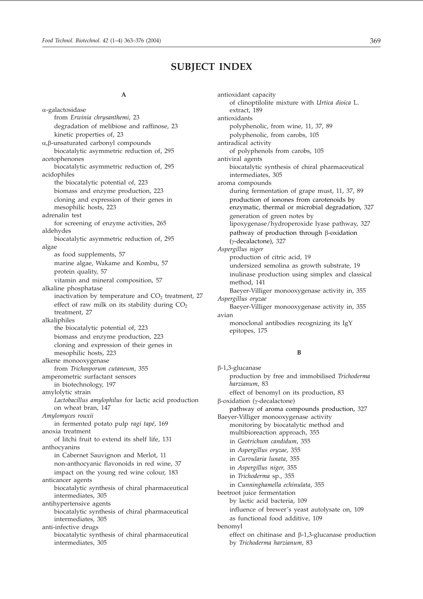## **SUBJECT INDEX**

#### **A**

--galactosidase from *Erwinia chrysanthemi*, 23 degradation of melibiose and raffinose, 23 kinetic properties of, 23 α,β-unsaturated carbonyl compounds biocatalytic asymmetric reduction of, 295 acetophenones biocatalytic asymmetric reduction of, 295 acidophiles the biocatalytic potential of, 223 biomass and enzyme production, 223 cloning and expression of their genes in mesophilic hosts, 223 adrenalin test for screening of enzyme activities, 265 aldehydes biocatalytic asymmetric reduction of, 295 algae as food supplements, 57 marine algae, Wakame and Kombu, 57 protein quality, 57 vitamin and mineral composition, 57 alkaline phosphatase inactivation by temperature and  $CO<sub>2</sub>$  treatment, 27 effect of raw milk on its stability during  $CO<sub>2</sub>$ treatment, 27 alkaliphiles the biocatalytic potential of, 223 biomass and enzyme production, 223 cloning and expression of their genes in mesophilic hosts, 223 alkene monooxygenase from *Trichosporum cutaneum*, 355 amperometric surfactant sensors in biotechnology, 197 amylolytic strain *Lactobacillus amylophilus* for lactic acid production on wheat bran, 147 *Amylomyces rouxii* in fermented potato pulp *ragi tapé*, 169 anoxia treatment of litchi fruit to extend its shelf life, 131 anthocyanins in Cabernet Sauvignon and Merlot, 11 non-anthocyanic flavonoids in red wine, 37 impact on the young red wine colour, 183 anticancer agents biocatalytic synthesis of chiral pharmaceutical intermediates, 305 antihypertensive agents biocatalytic synthesis of chiral pharmaceutical intermediates, 305 anti-infective drugs biocatalytic synthesis of chiral pharmaceutical intermediates, 305

antioxidant capacity of clinoptilolite mixture with *Urtica dioica* L. extract, 189 antioxidants polyphenolic, from wine, 11, 37, 89 polyphenolic, from carobs, 105 antiradical activity of polyphenols from carobs, 105 antiviral agents biocatalytic synthesis of chiral pharmaceutical intermediates, 305 aroma compounds during fermentation of grape must, 11, 37, 89 production of ionones from carotenoids by enzymatic, thermal or microbial degradation, 327 generation of green notes by lipoxygenase/hydroperoxide lyase pathway, 327 pathway of production through  $\beta$ -oxidation  $(y$ -decalactone), 327 *Aspergillus niger* production of citric acid, 19 undersized semolina as growth substrate, 19 inulinase production using simplex and classical method, 141 Baeyer-Villiger monooxygenase activity in, 355 *Aspergillus oryzae* Baeyer-Villiger monooxygenase activity in, 355 avian monoclonal antibodies recognizing its IgY epitopes, 175

#### **B**

-1,3-glucanase production by free and immobilised *Trichoderma harzianum*, 83 effect of benomyl on its production, 83  $\beta$ -oxidation ( $\gamma$ -decalactone) pathway of aroma compounds production, 327 Baeyer-Villiger monooxygenase activity monitoring by biocatalytic method and multibioreaction approach, 355 in *Geotrichum candidum*, 355 in *Aspergillus oryzae*, 355 in *Curvularia lunata*, 355 in *Aspergillus niger*, 355 in *Trichoderma* sp., 355 in *Cunninghamella echinulata*, 355 beetroot juice fermentation by lactic acid bacteria, 109 influence of brewer's yeast autolysate on, 109 as functional food additive, 109 benomyl effect on chitinase and  $\beta$ -1,3-glucanase production by *Trichoderma harzianum*, 83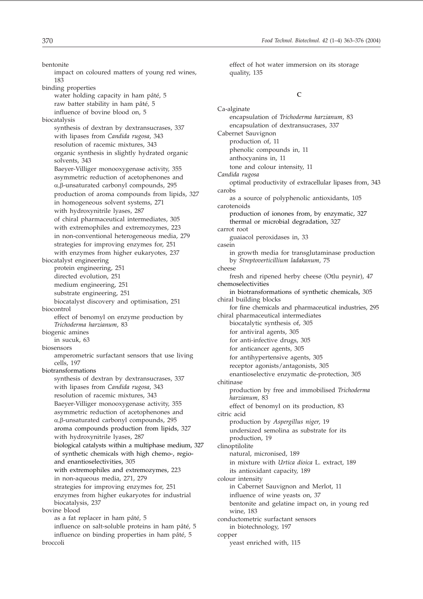impact on coloured matters of young red wines, 183 binding properties water holding capacity in ham pâté, 5 raw batter stability in ham pâté, 5 influence of bovine blood on, 5 biocatalysis synthesis of dextran by dextransucrases, 337 with lipases from *Candida rugosa*, 343 resolution of racemic mixtures, 343 organic synthesis in slightly hydrated organic solvents, 343 Baeyer-Villiger monooxygenase activity, 355 asymmetric reduction of acetophenones and α, β-unsaturated carbonyl compounds, 295 production of aroma compounds from lipids, 327 in homogeneous solvent systems, 271 with hydroxynitrile lyases, 287 of chiral pharmaceutical intermediates, 305 with extremophiles and extremozymes, 223 in non-conventional heterogeneous media, 279 strategies for improving enzymes for, 251 with enzymes from higher eukaryotes, 237 biocatalyst engineering protein engineering, 251 directed evolution, 251 medium engineering, 251 substrate engineering, 251 biocatalyst discovery and optimisation, 251 biocontrol effect of benomyl on enzyme production by *Trichoderma harzianum*, 83 biogenic amines in sucuk, 63 biosensors amperometric surfactant sensors that use living cells, 197 biotransformations synthesis of dextran by dextransucrases, 337 with lipases from *Candida rugosa*, 343 resolution of racemic mixtures, 343 Baeyer-Villiger monooxygenase activity, 355 asymmetric reduction of acetophenones and α, β-unsaturated carbonyl compounds, 295 aroma compounds production from lipids, 327 with hydroxynitrile lyases, 287 biological catalysts within a multiphase medium, 327 of synthetic chemicals with high chemo-, regioand enantioselectivities, 305 with extremophiles and extremozymes, 223 in non-aqueous media, 271, 279 strategies for improving enzymes for, 251 enzymes from higher eukaryotes for industrial biocatalysis, 237 bovine blood as a fat replacer in ham pâté, 5 influence on salt-soluble proteins in ham pâté, 5 influence on binding properties in ham pâté, 5 broccoli

effect of hot water immersion on its storage quality, 135

#### **C**

Ca-alginate encapsulation of *Trichoderma harzianum*, 83 encapsulation of dextransucrases, 337 Cabernet Sauvignon production of, 11 phenolic compounds in, 11 anthocyanins in, 11 tone and colour intensity, 11 *Candida rugosa* optimal productivity of extracellular lipases from, 343 carobs as a source of polyphenolic antioxidants, 105 carotenoids production of ionones from, by enzymatic, 327 thermal or microbial degradation, 327 carrot root guaiacol peroxidases in, 33 casein in growth media for transglutaminase production by *Streptoverticillium ladakanum*, 75 cheese fresh and ripened herby cheese (Otlu peynir), 47 chemoselectivities in biotransformations of synthetic chemicals, 305 chiral building blocks for fine chemicals and pharmaceutical industries, 295 chiral pharmaceutical intermediates biocatalytic synthesis of, 305 for antiviral agents, 305 for anti-infective drugs, 305 for anticancer agents, 305 for antihypertensive agents, 305 receptor agonists/antagonists, 305 enantioselective enzymatic de-protection, 305 chitinase production by free and immobilised *Trichoderma harzianum*, 83 effect of benomyl on its production, 83 citric acid production by *Aspergillus niger*, 19 undersized semolina as substrate for its production, 19 clinoptilolite natural, micronised, 189 in mixture with *Urtica dioica* L. extract, 189 its antioxidant capacity, 189 colour intensity in Cabernet Sauvignon and Merlot, 11 influence of wine yeasts on, 37 bentonite and gelatine impact on, in young red wine, 183 conductometric surfactant sensors in biotechnology, 197 copper yeast enriched with, 115

bentonite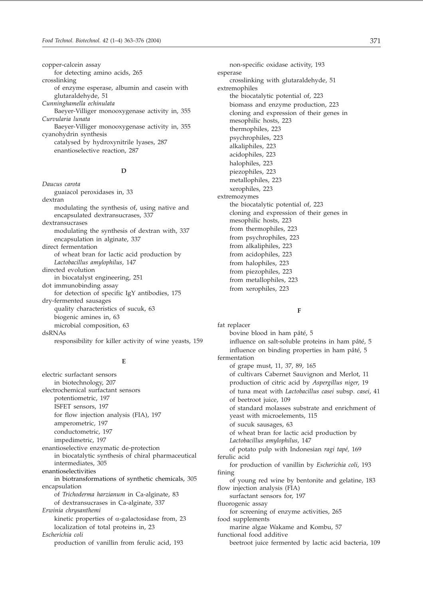copper-calcein assay for detecting amino acids, 265 crosslinking of enzyme esperase, albumin and casein with glutaraldehyde, 51 *Cunninghamella echinulata* Baeyer-Villiger monooxygenase activity in, 355 *Curvularia lunata* Baeyer-Villiger monooxygenase activity in, 355 cyanohydrin synthesis catalysed by hydroxynitrile lyases, 287 enantioselective reaction, 287

#### **D**

*Daucus carota* guaiacol peroxidases in, 33 dextran modulating the synthesis of, using native and encapsulated dextransucrases, 337 dextransucrases modulating the synthesis of dextran with, 337 encapsulation in alginate, 337 direct fermentation of wheat bran for lactic acid production by *Lactobacillus amylophilus*, 147 directed evolution in biocatalyst engineering, 251 dot immunobinding assay for detection of specific IgY antibodies, 175 dry-fermented sausages quality characteristics of sucuk, 63 biogenic amines in, 63 microbial composition, 63 dsRNAs responsibility for killer activity of wine yeasts, 159

#### **E**

electric surfactant sensors in biotechnology, 207 electrochemical surfactant sensors potentiometric, 197 ISFET sensors, 197 for flow injection analysis (FIA), 197 amperometric, 197 conductometric, 197 impedimetric, 197 enantioselective enzymatic de-protection in biocatalytic synthesis of chiral pharmaceutical intermediates, 305 enantioselectivities in biotransformations of synthetic chemicals, 305 encapsulation of *Trichoderma harzianum* in Ca-alginate, 83 of dextransucrases in Ca-alginate, 337 *Erwinia chrysanthemi* kinetic properties of  $\alpha$ -galactosidase from, 23 localization of total proteins in, 23 *Escherichia coli* production of vanillin from ferulic acid, 193

non-specific oxidase activity, 193 esperase crosslinking with glutaraldehyde, 51 extremophiles the biocatalytic potential of, 223 biomass and enzyme production, 223 cloning and expression of their genes in mesophilic hosts, 223 thermophiles, 223 psychrophiles, 223 alkaliphiles, 223 acidophiles, 223 halophiles, 223 piezophiles, 223 metallophiles, 223 xerophiles, 223 extremozymes the biocatalytic potential of, 223 cloning and expression of their genes in mesophilic hosts, 223 from thermophiles, 223 from psychrophiles, 223 from alkaliphiles, 223 from acidophiles, 223 from halophiles, 223 from piezophiles, 223 from metallophiles, 223 from xerophiles, 223

#### **F**

fat replacer bovine blood in ham pâté, 5 influence on salt-soluble proteins in ham pâté, 5 influence on binding properties in ham pâté, 5 fermentation of grape must, 11, 37, 89, 165 of cultivars Cabernet Sauvignon and Merlot, 11 production of citric acid by *Aspergillus niger*, 19 of tuna meat with *Lactobacillus casei* subsp. *casei*, 41 of beetroot juice, 109 of standard molasses substrate and enrichment of yeast with microelements, 115 of sucuk sausages, 63 of wheat bran for lactic acid production by *Lactobacillus amylophilus*, 147 of potato pulp with Indonesian *ragi tapé,* 169 ferulic acid for production of vanillin by *Escherichia coli*, 193 fining of young red wine by bentonite and gelatine, 183 flow injection analysis (FIA) surfactant sensors for, 197 fluorogenic assay for screening of enzyme activities, 265 food supplements marine algae Wakame and Kombu, 57 functional food additive beetroot juice fermented by lactic acid bacteria, 109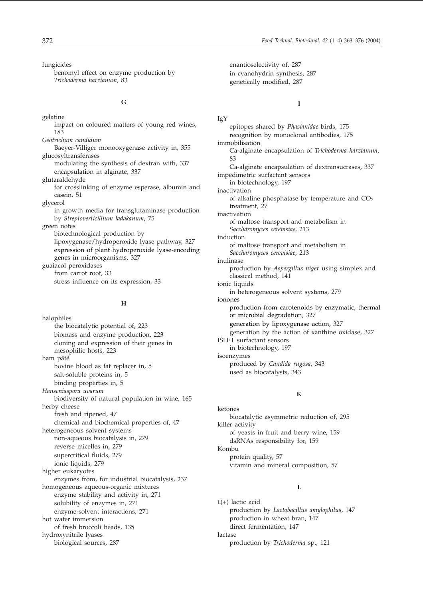fungicides

benomyl effect on enzyme production by *Trichoderma harzianum*, 83

#### **G**

gelatine impact on coloured matters of young red wines, 183 *Geotrichum candidum* Baeyer-Villiger monooxygenase activity in, 355 glucosyltransferases modulating the synthesis of dextran with, 337 encapsulation in alginate, 337 glutaraldehyde for crosslinking of enzyme esperase, albumin and casein, 51 glycerol in growth media for transglutaminase production by *Streptoverticillium ladakanum*, 75 green notes biotechnological production by lipoxygenase/hydroperoxide lyase pathway, 327 expression of plant hydroperoxide lyase-encoding genes in microorganisms, 327 guaiacol peroxidases from carrot root, 33 stress influence on its expression, 33

#### **H**

halophiles the biocatalytic potential of, 223 biomass and enzyme production, 223 cloning and expression of their genes in mesophilic hosts, 223 ham pâté bovine blood as fat replacer in, 5 salt-soluble proteins in, 5 binding properties in, 5 *Hanseniaspora uvarum* biodiversity of natural population in wine, 165 herby cheese fresh and ripened, 47 chemical and biochemical properties of, 47 heterogeneous solvent systems non-aqueous biocatalysis in, 279 reverse micelles in, 279 supercritical fluids, 279 ionic liquids, 279 higher eukaryotes enzymes from, for industrial biocatalysis, 237 homogeneous aqueous-organic mixtures enzyme stability and activity in, 271 solubility of enzymes in, 271 enzyme-solvent interactions, 271 hot water immersion of fresh broccoli heads, 135 hydroxynitrile lyases biological sources, 287

enantioselectivity of, 287 in cyanohydrin synthesis, 287 genetically modified, 287

#### **I**

IgY epitopes shared by *Phasianidae* birds, 175 recognition by monoclonal antibodies, 175 immobilisation Ca-alginate encapsulation of *Trichoderma harzianum*, 83 Ca-alginate encapsulation of dextransucrases, 337 impedimetric surfactant sensors in biotechnology, 197 inactivation of alkaline phosphatase by temperature and  $CO<sub>2</sub>$ treatment, 27 inactivation of maltose transport and metabolism in *Saccharomyces cerevisiae*, 213 induction of maltose transport and metabolism in *Saccharomyces cerevisiae*, 213 inulinase production by *Aspergillus niger* using simplex and classical method, 141 ionic liquids in heterogeneous solvent systems, 279 ionones production from carotenoids by enzymatic, thermal or microbial degradation, 327 generation by lipoxygenase action, 327 generation by the action of xanthine oxidase, 327 ISFET surfactant sensors in biotechnology, 197 isoenzymes produced by *Candida rugosa*, 343 used as biocatalysts, 343

#### **K**

ketones biocatalytic asymmetric reduction of, 295 killer activity of yeasts in fruit and berry wine, 159 dsRNAs responsibility for, 159 Kombu protein quality, 57 vitamin and mineral composition, 57

#### **L**

L(+) lactic acid production by *Lactobacillus amylophilus*, 147 production in wheat bran, 147 direct fermentation, 147 lactase production by *Trichoderma* sp., 121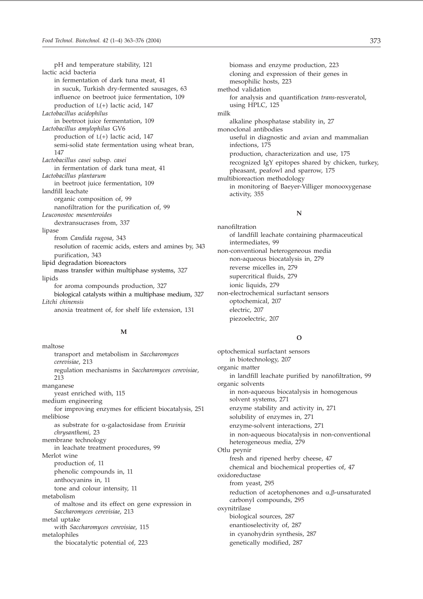pH and temperature stability, 121 lactic acid bacteria in fermentation of dark tuna meat, 41 in sucuk, Turkish dry-fermented sausages, 63 influence on beetroot juice fermentation, 109 production of L(+) lactic acid, 147 *Lactobacillus acidophilus* in beetroot juice fermentation, 109 *Lactobacillus amylophilus* GV6 production of L(+) lactic acid, 147 semi-solid state fermentation using wheat bran, 147 *Lactobacillus casei* subsp. *casei* in fermentation of dark tuna meat, 41 *Lactobacillus plantarum* in beetroot juice fermentation, 109 landfill leachate organic composition of, 99 nanofiltration for the purification of, 99 *Leuconostoc mesenteroides* dextransucrases from, 337 lipase from *Candida rugosa*, 343 resolution of racemic acids, esters and amines by, 343 purification, 343 lipid degradation bioreactors mass transfer within multiphase systems, 327 lipids for aroma compounds production, 327 biological catalysts within a multiphase medium, 327 *Litchi chinensis* anoxia treatment of, for shelf life extension, 131

#### **M**

maltose transport and metabolism in *Saccharomyces cerevisiae*, 213 regulation mechanisms in *Saccharomyces cerevisiae*, 213 manganese yeast enriched with, 115 medium engineering for improving enzymes for efficient biocatalysis, 251 melibiose as substrate for α-galactosidase from *Erwinia chrysanthemi*, 23 membrane technology in leachate treatment procedures, 99 Merlot wine production of, 11 phenolic compounds in, 11 anthocyanins in, 11 tone and colour intensity, 11 metabolism of maltose and its effect on gene expression in *Saccharomyces cerevisiae*, 213 metal uptake with *Saccharomyces cerevisiae*, 115 metalophiles the biocatalytic potential of, 223

biomass and enzyme production, 223 cloning and expression of their genes in mesophilic hosts, 223 method validation for analysis and quantification *trans*-resveratol, using HPLC, 125 milk alkaline phosphatase stability in, 27 monoclonal antibodies useful in diagnostic and avian and mammalian infections, 175 production, characterization and use, 175 recognized IgY epitopes shared by chicken, turkey, pheasant, peafowl and sparrow, 175 multibioreaction methodology in monitoring of Baeyer-Villiger monooxygenase activity, 355

#### **N**

nanofiltration of landfill leachate containing pharmaceutical intermediates, 99 non-conventional heterogeneous media non-aqueous biocatalysis in, 279 reverse micelles in, 279 supercritical fluids, 279 ionic liquids, 279 non-electrochemical surfactant sensors optochemical, 207 electric, 207 piezoelectric, 207

#### **O**

optochemical surfactant sensors in biotechnology, 207 organic matter in landfill leachate purified by nanofiltration, 99 organic solvents in non-aqueous biocatalysis in homogenous solvent systems, 271 enzyme stability and activity in, 271 solubility of enzymes in, 271 enzyme-solvent interactions, 271 in non-aqueous biocatalysis in non-conventional heterogeneous media, 279 Otlu peynir fresh and ripened herby cheese, 47 chemical and biochemical properties of, 47 oxidoreductase from yeast, 295 reduction of acetophenones and  $\alpha$ , $\beta$ -unsaturated carbonyl compounds, 295 oxynitrilase biological sources, 287 enantioselectivity of, 287 in cyanohydrin synthesis, 287 genetically modified, 287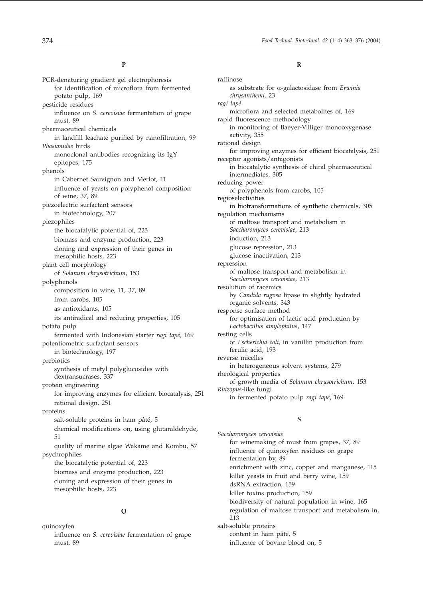#### **P**

PCR-denaturing gradient gel electrophoresis for identification of microflora from fermented potato pulp, 169 pesticide residues influence on *S. cerevisiae* fermentation of grape must, 89 pharmaceutical chemicals in landfill leachate purified by nanofiltration, 99 *Phasianidae* birds monoclonal antibodies recognizing its IgY epitopes, 175 phenols in Cabernet Sauvignon and Merlot, 11 influence of yeasts on polyphenol composition of wine, 37, 89 piezoelectric surfactant sensors in biotechnology, 207 piezophiles the biocatalytic potential of, 223 biomass and enzyme production, 223 cloning and expression of their genes in mesophilic hosts, 223 plant cell morphology of *Solanum chrysotrichum*, 153 polyphenols composition in wine, 11, 37, 89 from carobs, 105 as antioxidants, 105 its antiradical and reducing properties, 105 potato pulp fermented with Indonesian starter *ragi tapé,* 169 potentiometric surfactant sensors in biotechnology, 197 prebiotics synthesis of metyl polyglucosides with dextransucrases, 337 protein engineering for improving enzymes for efficient biocatalysis, 251 rational design, 251 proteins salt-soluble proteins in ham pâté, 5 chemical modifications on, using glutaraldehyde, 51 quality of marine algae Wakame and Kombu, 57 psychrophiles the biocatalytic potential of, 223 biomass and enzyme production, 223 cloning and expression of their genes in mesophilic hosts, 223

#### **Q**

quinoxyfen influence on *S. cerevisiae* fermentation of grape must, 89

#### **R**

raffinose as substrate for α-galactosidase from *Erwinia chrysanthemi*, 23 *ragi tapé* microflora and selected metabolites of, 169 rapid fluorescence methodology in monitoring of Baeyer-Villiger monooxygenase activity, 355 rational design for improving enzymes for efficient biocatalysis, 251 receptor agonists/antagonists in biocatalytic synthesis of chiral pharmaceutical intermediates, 305 reducing power of polyphenols from carobs, 105 regioselectivities in biotransformations of synthetic chemicals, 305 regulation mechanisms of maltose transport and metabolism in *Saccharomyces cerevisiae*, 213 induction, 213 glucose repression, 213 glucose inactivation, 213 repression of maltose transport and metabolism in *Saccharomyces cerevisiae*, 213 resolution of racemics by *Candida rugosa* lipase in slightly hydrated organic solvents, 343 response surface method for optimisation of lactic acid production by *Lactobacillus amylophilus*, 147 resting cells of *Escherichia coli*, in vanillin production from ferulic acid, 193 reverse micelles in heterogeneous solvent systems, 279 rheological properties of growth media of *Solanum chrysotrichum*, 153 *Rhizopus*-like fungi in fermented potato pulp *ragi tapé*, 169

#### **S**

*Saccharomyces cerevisiae* for winemaking of must from grapes, 37, 89 influence of quinoxyfen residues on grape fermentation by, 89 enrichment with zinc, copper and manganese, 115 killer yeasts in fruit and berry wine, 159 dsRNA extraction, 159 killer toxins production, 159 biodiversity of natural population in wine, 165 regulation of maltose transport and metabolism in, 213 salt-soluble proteins content in ham pâté, 5 influence of bovine blood on, 5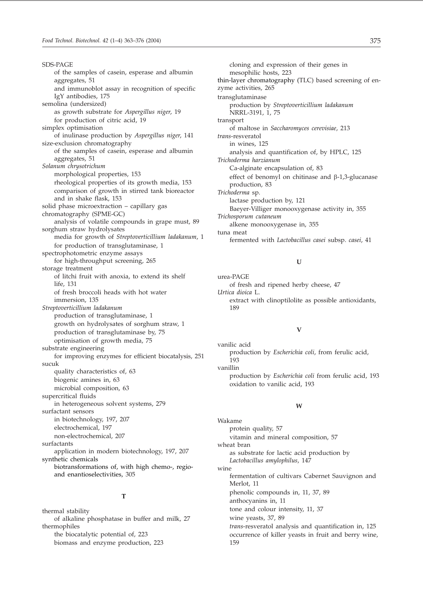SDS-PAGE of the samples of casein, esperase and albumin aggregates, 51 and immunoblot assay in recognition of specific IgY antibodies, 175 semolina (undersized) as growth substrate for *Aspergillus niger*, 19 for production of citric acid, 19 simplex optimisation of inulinase production by *Aspergillus niger*, 141 size-exclusion chromatography of the samples of casein, esperase and albumin aggregates, 51 *Solanum chrysotrichum* morphological properties, 153 rheological properties of its growth media, 153 comparison of growth in stirred tank bioreactor and in shake flask, 153 solid phase microextraction – capillary gas chromatography (SPME-GC) analysis of volatile compounds in grape must, 89 sorghum straw hydrolysates media for growth of *Streptoverticillium ladakanum*, 1 for production of transglutaminase, 1 spectrophotometric enzyme assays for high-throughput screening, 265 storage treatment of litchi fruit with anoxia, to extend its shelf life, 131 of fresh broccoli heads with hot water immersion, 135 *Streptoverticillium ladakanum* production of transglutaminase, 1 growth on hydrolysates of sorghum straw, 1 production of transglutaminase by, 75 optimisation of growth media, 75 substrate engineering for improving enzymes for efficient biocatalysis, 251 sucuk quality characteristics of, 63 biogenic amines in, 63 microbial composition, 63 supercritical fluids in heterogeneous solvent systems, 279 surfactant sensors in biotechnology, 197, 207 electrochemical, 197 non-electrochemical, 207 surfactants application in modern biotechnology, 197, 207 synthetic chemicals biotransformations of, with high chemo-, regioand enantioselectivities, 305

#### **T**

thermal stability of alkaline phosphatase in buffer and milk, 27 thermophiles the biocatalytic potential of, 223 biomass and enzyme production, 223

cloning and expression of their genes in mesophilic hosts, 223 thin-layer chromatography (TLC) based screening of enzyme activities, 265 transglutaminase production by *Streptoverticillium ladakanum* NRRL-3191, 1, 75 transport of maltose in *Saccharomyces cerevisiae*, 213 *trans*-resveratol in wines, 125 analysis and quantification of, by HPLC, 125 *Trichoderma harzianum* Ca-alginate encapsulation of, 83 effect of benomyl on chitinase and  $\beta$ -1,3-glucanase production, 83 *Trichoderma* sp. lactase production by, 121 Baeyer-Villiger monooxygenase activity in, 355 *Trichosporum cutaneum* alkene monooxygenase in, 355 tuna meat fermented with *Lactobacillus casei* subsp. *casei*, 41

#### **U**

urea-PAGE of fresh and ripened herby cheese, 47 *Urtica dioica* L. extract with clinoptilolite as possible antioxidants, 189

#### **V**

vanilic acid production by *Escherichia coli*, from ferulic acid, 193 vanillin production by *Escherichia coli* from ferulic acid, 193 oxidation to vanilic acid, 193

#### **W**

Wakame protein quality, 57 vitamin and mineral composition, 57 wheat bran as substrate for lactic acid production by *Lactobacillus amylophilus*, 147 wine fermentation of cultivars Cabernet Sauvignon and Merlot, 11 phenolic compounds in, 11, 37, 89 anthocyanins in, 11 tone and colour intensity, 11, 37 wine yeasts, 37, 89 *trans*-resveratol analysis and quantification in, 125 occurrence of killer yeasts in fruit and berry wine, 159